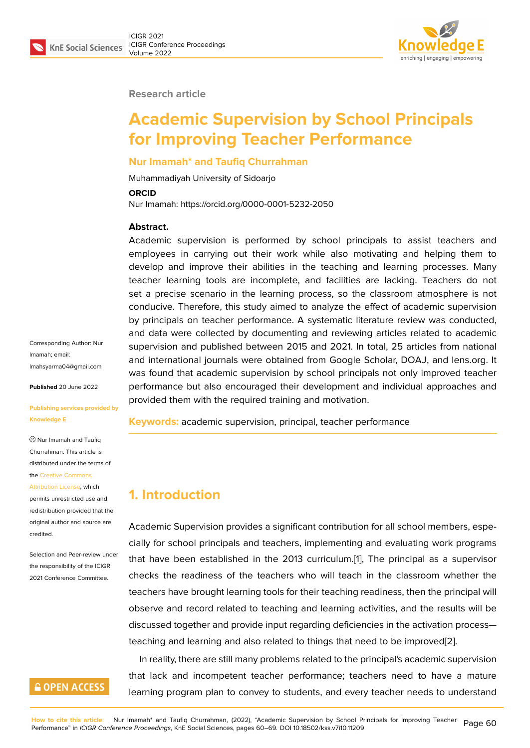#### **Research article**

# **Academic Supervision by School Principals for Improving Teacher Performance**

### **Nur Imamah\* and Taufiq Churrahman**

Muhammadiyah University of Sidoarjo

#### **ORCID**

Nur Imamah: https://orcid.org/0000-0001-5232-2050

### **Abstract.**

Academic supervision is performed by school principals to assist teachers and employees in carrying out their work while also motivating and helping them to develop and improve their abilities in the teaching and learning processes. Many teacher learning tools are incomplete, and facilities are lacking. Teachers do not set a precise scenario in the learning process, so the classroom atmosphere is not conducive. Therefore, this study aimed to analyze the effect of academic supervision by principals on teacher performance. A systematic literature review was conducted, and data were collected by documenting and reviewing articles related to academic supervision and published between 2015 and 2021. In total, 25 articles from national and international journals were obtained from Google Scholar, DOAJ, and lens.org. It was found that academic supervision by school principals not only improved teacher performance but also encouraged their development and individual approaches and provided them with the required training and motivation.

**Keywords:** academic supervision, principal, teacher performance

## **1. Introduction**

Academic Supervision provides a significant contribution for all school members, especially for school principals and teachers, implementing and evaluating work programs that have been established in the 2013 curriculum.[1], The principal as a supervisor checks the readiness of the teachers who will teach in the classroom whether the teachers have brought learning tools for their teaching readiness, then the principal will observe and record related to teaching and learning [a](#page-7-0)ctivities, and the results will be discussed together and provide input regarding deficiencies in the activation process teaching and learning and also related to things that need to be improved[2].

In reality, there are still many problems related to the principal's academic supervision that lack and incompetent teacher performance; teachers need to have a mature learning program plan to convey to students, and every teacher needs to [u](#page-7-1)nderstand

Corresponding Author: Nur Imamah; email: Imahsyarma04@gmail.com

**Published** 20 June 2022

#### **[Publishing services provid](mailto:Imahsyarma04@gmail.com)ed by Knowledge E**

Nur Imamah and Taufiq Churrahman. This article is distributed under the terms of the Creative Commons

Attribution License, which permits unrestricted use and redistribution provided that the orig[inal author and sou](https://creativecommons.org/licenses/by/4.0/)rce are [credited.](https://creativecommons.org/licenses/by/4.0/)

Selection and Peer-review under the responsibility of the ICIGR 2021 Conference Committee.

## **GOPEN ACCESS**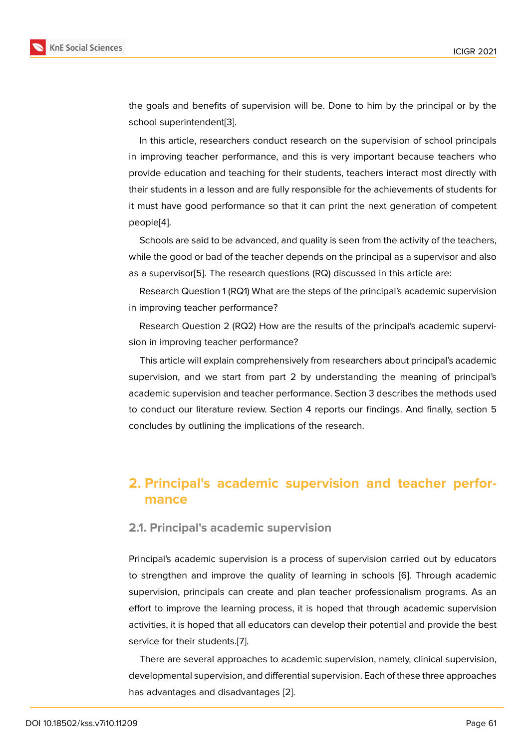the goals and benefits of supervision will be. Done to him by the principal or by the school superintendent[3].

In this article, researchers conduct research on the supervision of school principals in improving teacher performance, and this is very important because teachers who provide education and [te](#page-7-2)aching for their students, teachers interact most directly with their students in a lesson and are fully responsible for the achievements of students for it must have good performance so that it can print the next generation of competent people[4].

Schools are said to be advanced, and quality is seen from the activity of the teachers, while the good or bad of the teacher depends on the principal as a supervisor and also as a su[pe](#page-8-0)rvisor[5]. The research questions (RQ) discussed in this article are:

Research Question 1 (RQ1) What are the steps of the principal's academic supervision in improving teacher performance?

Research Qu[es](#page-8-1)tion 2 (RQ2) How are the results of the principal's academic supervision in improving teacher performance?

This article will explain comprehensively from researchers about principal's academic supervision, and we start from part 2 by understanding the meaning of principal's academic supervision and teacher performance. Section 3 describes the methods used to conduct our literature review. Section 4 reports our findings. And finally, section 5 concludes by outlining the implications of the research.

## **2. Principal's academic supervision and teacher performance**

## **2.1. Principal's academic supervision**

Principal's academic supervision is a process of supervision carried out by educators to strengthen and improve the quality of learning in schools [6]. Through academic supervision, principals can create and plan teacher professionalism programs. As an effort to improve the learning process, it is hoped that through academic supervision activities, it is hoped that all educators can develop their potenti[al](#page-8-2) and provide the best service for their students.[7].

There are several approaches to academic supervision, namely, clinical supervision, developmental supervision, and differential supervision. Each of these three approaches has advantages and disa[dv](#page-8-3)antages [2].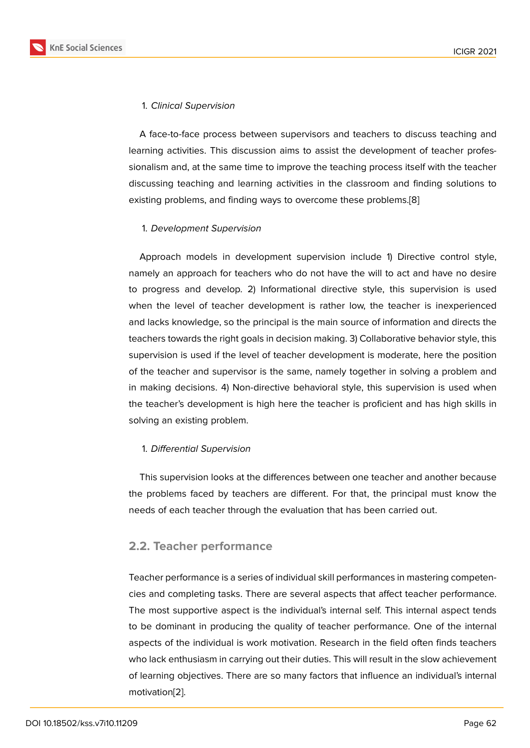### 1. *Clinical Supervision*

A face-to-face process between supervisors and teachers to discuss teaching and learning activities. This discussion aims to assist the development of teacher professionalism and, at the same time to improve the teaching process itself with the teacher discussing teaching and learning activities in the classroom and finding solutions to existing problems, and finding ways to overcome these problems.[8]

### 1. *Development Supervision*

Approach models in development supervision include 1) Directive control style, namely an approach for teachers who do not have the will to act and have no desire to progress and develop. 2) Informational directive style, this supervision is used when the level of teacher development is rather low, the teacher is inexperienced and lacks knowledge, so the principal is the main source of information and directs the teachers towards the right goals in decision making. 3) Collaborative behavior style, this supervision is used if the level of teacher development is moderate, here the position of the teacher and supervisor is the same, namely together in solving a problem and in making decisions. 4) Non-directive behavioral style, this supervision is used when the teacher's development is high here the teacher is proficient and has high skills in solving an existing problem.

### 1. *Differential Supervision*

This supervision looks at the differences between one teacher and another because the problems faced by teachers are different. For that, the principal must know the needs of each teacher through the evaluation that has been carried out.

### **2.2. Teacher performance**

Teacher performance is a series of individual skill performances in mastering competencies and completing tasks. There are several aspects that affect teacher performance. The most supportive aspect is the individual's internal self. This internal aspect tends to be dominant in producing the quality of teacher performance. One of the internal aspects of the individual is work motivation. Research in the field often finds teachers who lack enthusiasm in carrying out their duties. This will result in the slow achievement of learning objectives. There are so many factors that influence an individual's internal motivation[2].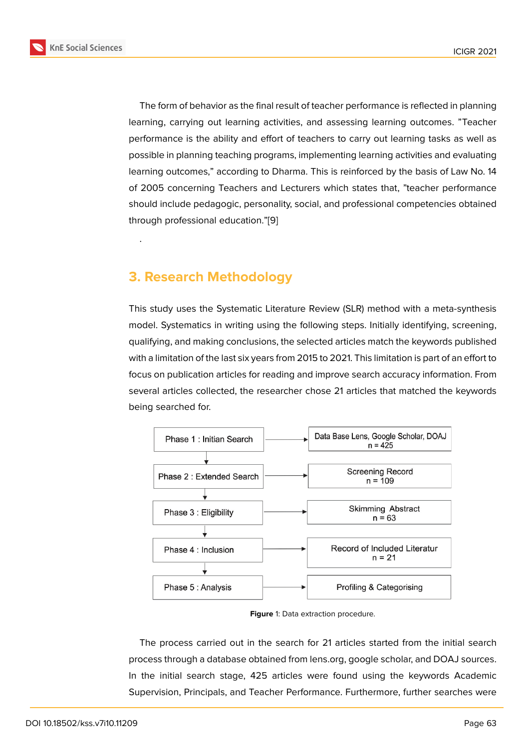The form of behavior as the final result of teacher performance is reflected in planning learning, carrying out learning activities, and assessing learning outcomes. "Teacher performance is the ability and effort of teachers to carry out learning tasks as well as possible in planning teaching programs, implementing learning activities and evaluating learning outcomes," according to Dharma. This is reinforced by the basis of Law No. 14 of 2005 concerning Teachers and Lecturers which states that, "teacher performance should include pedagogic, personality, social, and professional competencies obtained through professional education."[9]

## **3. Research Methodol[o](#page-8-4)gy**

.

This study uses the Systematic Literature Review (SLR) method with a meta-synthesis model. Systematics in writing using the following steps. Initially identifying, screening, qualifying, and making conclusions, the selected articles match the keywords published with a limitation of the last six years from 2015 to 2021. This limitation is part of an effort to focus on publication articles for reading and improve search accuracy information. From several articles collected, the researcher chose 21 articles that matched the keywords being searched for.



**Figure** 1: Data extraction procedure.

The process carried out in the search for 21 articles started from the initial search process through a database obtained from lens.org, google scholar, and DOAJ sources. In the initial search stage, 425 articles were found using the keywords Academic Supervision, Principals, and Teacher Performance. Furthermore, further searches were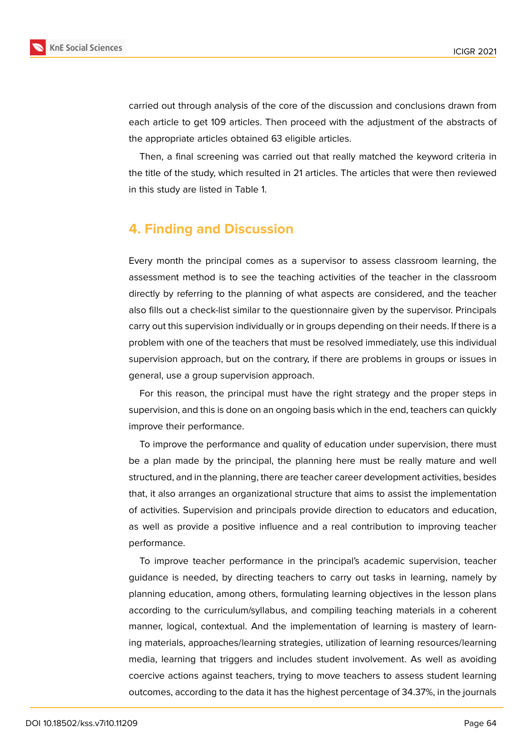

carried out through analysis of the core of the discussion and conclusions drawn from each article to get 109 articles. Then proceed with the adjustment of the abstracts of the appropriate articles obtained 63 eligible articles.

Then, a final screening was carried out that really matched the keyword criteria in the title of the study, which resulted in 21 articles. The articles that were then reviewed in this study are listed in Table 1.

## **4. Finding and Discussion**

Every month the principal comes as a supervisor to assess classroom learning, the assessment method is to see the teaching activities of the teacher in the classroom directly by referring to the planning of what aspects are considered, and the teacher also fills out a check-list similar to the questionnaire given by the supervisor. Principals carry out this supervision individually or in groups depending on their needs. If there is a problem with one of the teachers that must be resolved immediately, use this individual supervision approach, but on the contrary, if there are problems in groups or issues in general, use a group supervision approach.

For this reason, the principal must have the right strategy and the proper steps in supervision, and this is done on an ongoing basis which in the end, teachers can quickly improve their performance.

To improve the performance and quality of education under supervision, there must be a plan made by the principal, the planning here must be really mature and well structured, and in the planning, there are teacher career development activities, besides that, it also arranges an organizational structure that aims to assist the implementation of activities. Supervision and principals provide direction to educators and education, as well as provide a positive influence and a real contribution to improving teacher performance.

To improve teacher performance in the principal's academic supervision, teacher guidance is needed, by directing teachers to carry out tasks in learning, namely by planning education, among others, formulating learning objectives in the lesson plans according to the curriculum/syllabus, and compiling teaching materials in a coherent manner, logical, contextual. And the implementation of learning is mastery of learning materials, approaches/learning strategies, utilization of learning resources/learning media, learning that triggers and includes student involvement. As well as avoiding coercive actions against teachers, trying to move teachers to assess student learning outcomes, according to the data it has the highest percentage of 34.37%, in the journals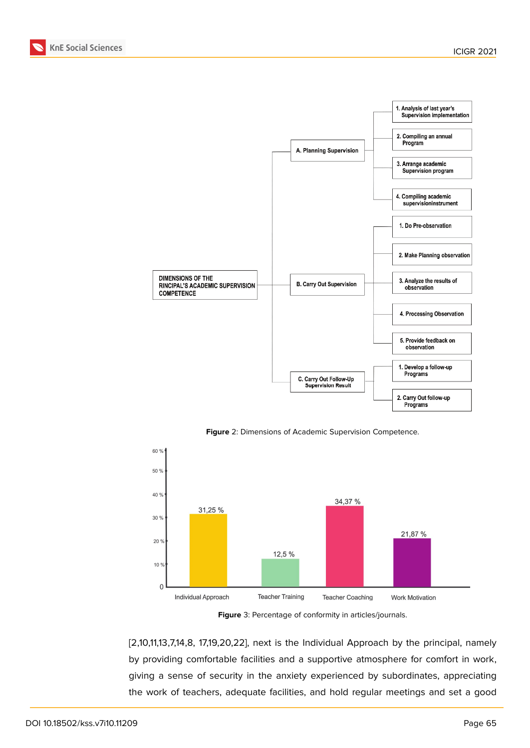



**Figure** 2: Dimensions of Academic Supervision Competence.



**Figure** 3: Percentage of conformity in articles/journals.

[2,10,11,13,7,14,8, 17,19,20,22], next is the Individual Approach by the principal, namely by providing comfortable facilities and a supportive atmosphere for comfort in work, giving a sense of security in the anxiety experienced by subordinates, appreciating the work of teachers, adequate facilities, and hold regular meetings and set a good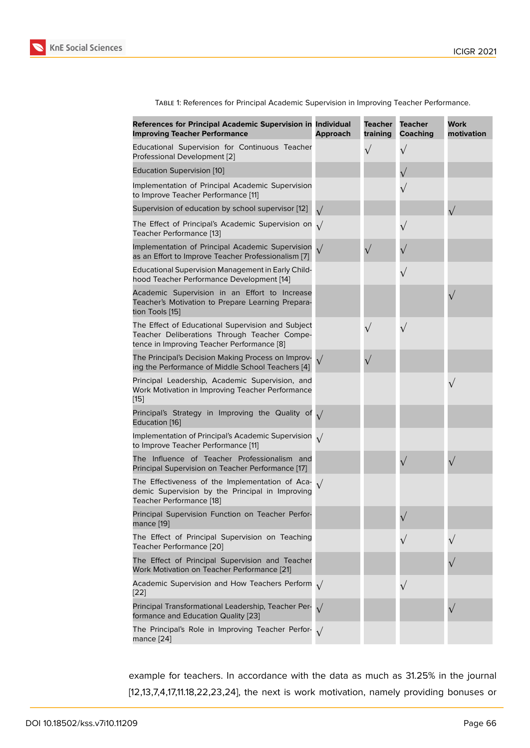| TABLE 1: References for Principal Academic Supervision in Improving Teacher Performance. |  |  |
|------------------------------------------------------------------------------------------|--|--|

| References for Principal Academic Supervision in Individual<br><b>Improving Teacher Performance</b>                                             | <b>Approach</b> | Teacher<br>training | <b>Teacher</b><br>Coaching | Work<br>motivation |
|-------------------------------------------------------------------------------------------------------------------------------------------------|-----------------|---------------------|----------------------------|--------------------|
| Educational Supervision for Continuous Teacher<br>Professional Development [2]                                                                  |                 | $\sqrt{}$           | $\sqrt{}$                  |                    |
| <b>Education Supervision [10]</b>                                                                                                               |                 |                     |                            |                    |
| Implementation of Principal Academic Supervision<br>to Improve Teacher Performance [11]                                                         |                 |                     | $\sqrt{}$                  |                    |
| Supervision of education by school supervisor [12]                                                                                              | $\sqrt{}$       |                     |                            | $\sqrt{}$          |
| The Effect of Principal's Academic Supervision on<br>Teacher Performance [13]                                                                   | $\sqrt{ }$      |                     | $\sqrt{}$                  |                    |
| Implementation of Principal Academic Supervision<br>as an Effort to Improve Teacher Professionalism [7]                                         | $\sqrt{ }$      | $\sqrt{}$           |                            |                    |
| <b>Educational Supervision Management in Early Child-</b><br>hood Teacher Performance Development [14]                                          |                 |                     | $\sqrt{}$                  |                    |
| Academic Supervision in an Effort to Increase<br>Teacher's Motivation to Prepare Learning Prepara-<br>tion Tools [15]                           |                 |                     |                            | $\sqrt{}$          |
| The Effect of Educational Supervision and Subject<br>Teacher Deliberations Through Teacher Compe-<br>tence in Improving Teacher Performance [8] |                 | $\sqrt{}$           | $\sqrt{}$                  |                    |
| The Principal's Decision Making Process on Improv-<br>ing the Performance of Middle School Teachers [4]                                         |                 | $\sqrt{}$           |                            |                    |
| Principal Leadership, Academic Supervision, and<br>Work Motivation in Improving Teacher Performance<br>$[15]$                                   |                 |                     |                            | $\sqrt{}$          |
| Principal's Strategy in Improving the Quality of $\sqrt{}$<br>Education [16]                                                                    |                 |                     |                            |                    |
| Implementation of Principal's Academic Supervision $\sqrt{}$<br>to Improve Teacher Performance [11]                                             |                 |                     |                            |                    |
| The Influence of Teacher Professionalism and<br>Principal Supervision on Teacher Performance [17]                                               |                 |                     |                            | $\sqrt{}$          |
| The Effectiveness of the Implementation of Aca-<br>demic Supervision by the Principal in Improving<br>Teacher Performance [18]                  | $\sqrt{ }$      |                     |                            |                    |
| Principal Supervision Function on Teacher Perfor-<br>mance [19]                                                                                 |                 |                     |                            |                    |
| The Effect of Principal Supervision on Teaching<br>Teacher Performance [20]                                                                     |                 |                     |                            | $\sqrt{}$          |
| The Effect of Principal Supervision and Teacher<br>Work Motivation on Teacher Performance [21]                                                  |                 |                     |                            |                    |
| Academic Supervision and How Teachers Perform $\sqrt{}$<br>$[22]$                                                                               |                 |                     | $\sqrt{}$                  |                    |
| Principal Transformational Leadership, Teacher Per-<br>formance and Education Quality [23]                                                      |                 |                     |                            | $\sqrt{}$          |
| The Principal's Role in Improving Teacher Perfor- $\sqrt{}$<br>mance $[24]$                                                                     |                 |                     |                            |                    |

exampl[e f](#page-9-6)or teachers. In accordance with the data as much as 31.25% in the journal [12,13,7,4,17,11.18,22,23,24], the next is work motivation, namely providing bonuses or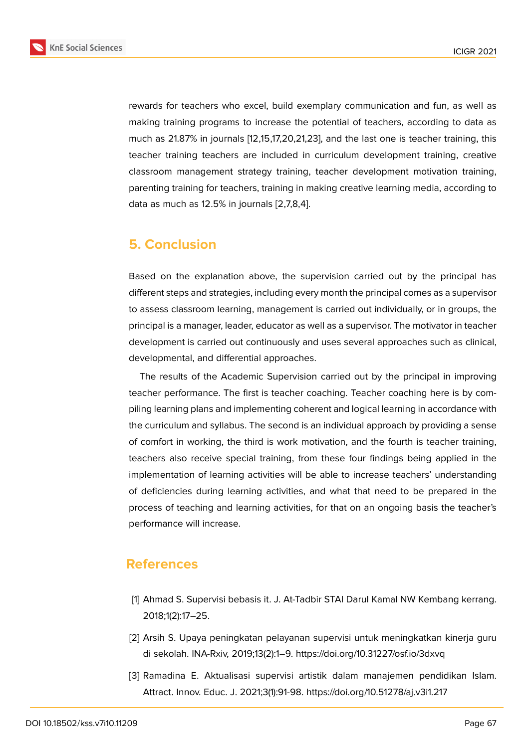

rewards for teachers who excel, build exemplary communication and fun, as well as making training programs to increase the potential of teachers, according to data as much as 21.87% in journals [12,15,17,20,21,23], and the last one is teacher training, this teacher training teachers are included in curriculum development training, creative classroom management strategy training, teacher development motivation training, parenting training for teachers, training in making creative learning media, according to data as much as 12.5% in journals [2,7,8,4].

## **5. Conclusion**

Based on the explanation above, the supervision carried out by the principal has different steps and strategies, including every month the principal comes as a supervisor to assess classroom learning, management is carried out individually, or in groups, the principal is a manager, leader, educator as well as a supervisor. The motivator in teacher development is carried out continuously and uses several approaches such as clinical, developmental, and differential approaches.

The results of the Academic Supervision carried out by the principal in improving teacher performance. The first is teacher coaching. Teacher coaching here is by compiling learning plans and implementing coherent and logical learning in accordance with the curriculum and syllabus. The second is an individual approach by providing a sense of comfort in working, the third is work motivation, and the fourth is teacher training, teachers also receive special training, from these four findings being applied in the implementation of learning activities will be able to increase teachers' understanding of deficiencies during learning activities, and what that need to be prepared in the process of teaching and learning activities, for that on an ongoing basis the teacher's performance will increase.

## **References**

- <span id="page-7-0"></span>[1] Ahmad S. Supervisi bebasis it. J. At-Tadbir STAI Darul Kamal NW Kembang kerrang. 2018;1(2):17–25.
- <span id="page-7-1"></span>[2] Arsih S. Upaya peningkatan pelayanan supervisi untuk meningkatkan kinerja guru di sekolah. INA-Rxiv, 2019;13(2):1–9. https://doi.org/10.31227/osf.io/3dxvq
- <span id="page-7-2"></span>[3] Ramadina E. Aktualisasi supervisi artistik dalam manajemen pendidikan Islam. Attract. Innov. Educ. J. 2021;3(1):91-98. https://doi.org/10.51278/aj.v3i1.217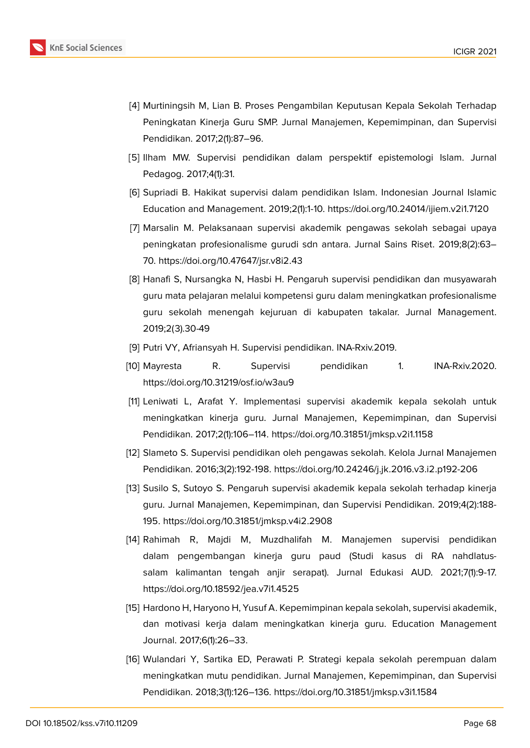

- <span id="page-8-0"></span>[4] Murtiningsih M, Lian B. Proses Pengambilan Keputusan Kepala Sekolah Terhadap Peningkatan Kinerja Guru SMP. Jurnal Manajemen, Kepemimpinan, dan Supervisi Pendidikan. 2017;2(1):87–96.
- <span id="page-8-1"></span>[5] Ilham MW. Supervisi pendidikan dalam perspektif epistemologi Islam. Jurnal Pedagog. 2017;4(1):31.
- <span id="page-8-2"></span>[6] Supriadi B. Hakikat supervisi dalam pendidikan Islam. Indonesian Journal Islamic Education and Management. 2019;2(1):1-10. https://doi.org/10.24014/ijiem.v2i1.7120
- <span id="page-8-3"></span>[7] Marsalin M. Pelaksanaan supervisi akademik pengawas sekolah sebagai upaya peningkatan profesionalisme gurudi sdn antara. Jurnal Sains Riset. 2019;8(2):63– 70. https://doi.org/10.47647/jsr.v8i2.43
- <span id="page-8-11"></span>[8] Hanafi S, Nursangka N, Hasbi H. Pengaruh supervisi pendidikan dan musyawarah guru mata pelajaran melalui kompetensi guru dalam meningkatkan profesionalisme guru sekolah menengah kejuruan di kabupaten takalar. Jurnal Management. 2019;2(3).30-49
- <span id="page-8-4"></span>[9] Putri VY, Afriansyah H. Supervisi pendidikan. INA-Rxiv.2019.
- <span id="page-8-5"></span>[10] Mayresta R. Supervisi pendidikan 1. INA-Rxiv.2020. https://doi.org/10.31219/osf.io/w3au9
- <span id="page-8-6"></span>[11] Leniwati L, Arafat Y. Implementasi supervisi akademik kepala sekolah untuk meningkatkan kinerja guru. Jurnal Manajemen, Kepemimpinan, dan Supervisi Pendidikan. 2017;2(1):106–114. https://doi.org/10.31851/jmksp.v2i1.1158
- <span id="page-8-7"></span>[12] Slameto S. Supervisi pendidikan oleh pengawas sekolah. Kelola Jurnal Manajemen Pendidikan. 2016;3(2):192-198. https://doi.org/10.24246/j.jk.2016.v3.i2.p192-206
- <span id="page-8-8"></span>[13] Susilo S, Sutoyo S. Pengaruh supervisi akademik kepala sekolah terhadap kinerja guru. Jurnal Manajemen, Kepemimpinan, dan Supervisi Pendidikan. 2019;4(2):188- 195. https://doi.org/10.31851/jmksp.v4i2.2908
- <span id="page-8-9"></span>[14] Rahimah R, Majdi M, Muzdhalifah M. Manajemen supervisi pendidikan dalam pengembangan kinerja guru paud (Studi kasus di RA nahdlatussalam kalimantan tengah anjir serapat). Jurnal Edukasi AUD. 2021;7(1):9-17. https://doi.org/10.18592/jea.v7i1.4525
- <span id="page-8-10"></span>[15] Hardono H, Haryono H, Yusuf A. Kepemimpinan kepala sekolah, supervisi akademik, dan motivasi kerja dalam meningkatkan kinerja guru. Education Management Journal. 2017;6(1):26–33.
- <span id="page-8-12"></span>[16] Wulandari Y, Sartika ED, Perawati P. Strategi kepala sekolah perempuan dalam meningkatkan mutu pendidikan. Jurnal Manajemen, Kepemimpinan, dan Supervisi Pendidikan. 2018;3(1):126–136. https://doi.org/10.31851/jmksp.v3i1.1584